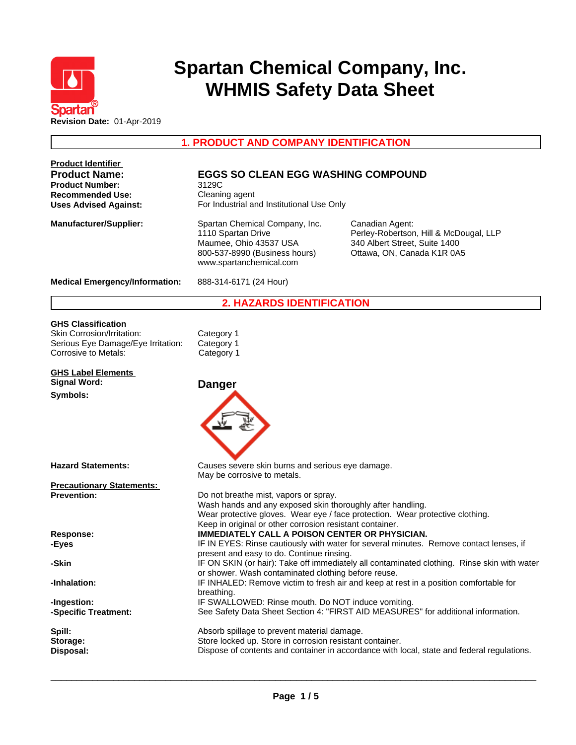

# **Spartan Chemical Company, Inc. WHMIS Safety Data Sheet**

**1. PRODUCT AND COMPANY IDENTIFICATION**

| <b>Product Identifier</b>                                                                                 |                                                                                                                                                                                                                                                  |                                                                                                                          |  |  |
|-----------------------------------------------------------------------------------------------------------|--------------------------------------------------------------------------------------------------------------------------------------------------------------------------------------------------------------------------------------------------|--------------------------------------------------------------------------------------------------------------------------|--|--|
| <b>Product Name:</b><br><b>Product Number:</b><br><b>Recommended Use:</b><br><b>Uses Advised Against:</b> | <b>EGGS SO CLEAN EGG WASHING COMPOUND</b><br>3129C<br>Cleaning agent<br>For Industrial and Institutional Use Only                                                                                                                                |                                                                                                                          |  |  |
|                                                                                                           |                                                                                                                                                                                                                                                  |                                                                                                                          |  |  |
| <b>Manufacturer/Supplier:</b>                                                                             | Spartan Chemical Company, Inc.<br>1110 Spartan Drive<br>Maumee, Ohio 43537 USA<br>800-537-8990 (Business hours)<br>www.spartanchemical.com                                                                                                       | Canadian Agent:<br>Perley-Robertson, Hill & McDougal, LLP<br>340 Albert Street, Suite 1400<br>Ottawa, ON, Canada K1R 0A5 |  |  |
| <b>Medical Emergency/Information:</b>                                                                     | 888-314-6171 (24 Hour)                                                                                                                                                                                                                           |                                                                                                                          |  |  |
|                                                                                                           | <b>2. HAZARDS IDENTIFICATION</b>                                                                                                                                                                                                                 |                                                                                                                          |  |  |
| <b>GHS Classification</b>                                                                                 |                                                                                                                                                                                                                                                  |                                                                                                                          |  |  |
| Skin Corrosion/Irritation:                                                                                | Category 1                                                                                                                                                                                                                                       |                                                                                                                          |  |  |
| Serious Eye Damage/Eye Irritation:                                                                        | Category 1                                                                                                                                                                                                                                       |                                                                                                                          |  |  |
| Corrosive to Metals:                                                                                      | Category 1                                                                                                                                                                                                                                       |                                                                                                                          |  |  |
| <b>GHS Label Elements</b>                                                                                 |                                                                                                                                                                                                                                                  |                                                                                                                          |  |  |
| <b>Signal Word:</b>                                                                                       | <b>Danger</b>                                                                                                                                                                                                                                    |                                                                                                                          |  |  |
| Symbols:                                                                                                  |                                                                                                                                                                                                                                                  |                                                                                                                          |  |  |
| <b>Hazard Statements:</b>                                                                                 | Causes severe skin burns and serious eye damage.<br>May be corrosive to metals.                                                                                                                                                                  |                                                                                                                          |  |  |
| <b>Precautionary Statements:</b>                                                                          |                                                                                                                                                                                                                                                  |                                                                                                                          |  |  |
| <b>Prevention:</b>                                                                                        | Do not breathe mist, vapors or spray.<br>Wash hands and any exposed skin thoroughly after handling.<br>Wear protective gloves. Wear eye / face protection. Wear protective clothing.<br>Keep in original or other corrosion resistant container. |                                                                                                                          |  |  |
| Response:                                                                                                 | <b>IMMEDIATELY CALL A POISON CENTER OR PHYSICIAN.</b>                                                                                                                                                                                            |                                                                                                                          |  |  |
| -Eyes                                                                                                     | IF IN EYES: Rinse cautiously with water for several minutes. Remove contact lenses, if                                                                                                                                                           |                                                                                                                          |  |  |
|                                                                                                           | present and easy to do. Continue rinsing.                                                                                                                                                                                                        |                                                                                                                          |  |  |
| -Skin                                                                                                     | or shower. Wash contaminated clothing before reuse.                                                                                                                                                                                              | IF ON SKIN (or hair): Take off immediately all contaminated clothing. Rinse skin with water                              |  |  |
| -Inhalation:                                                                                              | IF INHALED: Remove victim to fresh air and keep at rest in a position comfortable for<br>breathing.                                                                                                                                              |                                                                                                                          |  |  |
| -Ingestion:<br>-Specific Treatment:                                                                       | IF SWALLOWED: Rinse mouth. Do NOT induce vomiting.<br>See Safety Data Sheet Section 4: "FIRST AID MEASURES" for additional information.                                                                                                          |                                                                                                                          |  |  |
| Spill:                                                                                                    | Absorb spillage to prevent material damage.                                                                                                                                                                                                      |                                                                                                                          |  |  |
| Storage:                                                                                                  | Store locked up. Store in corrosion resistant container.                                                                                                                                                                                         |                                                                                                                          |  |  |
| Disposal:                                                                                                 | Dispose of contents and container in accordance with local, state and federal regulations.                                                                                                                                                       |                                                                                                                          |  |  |
|                                                                                                           |                                                                                                                                                                                                                                                  |                                                                                                                          |  |  |

 $\overline{\phantom{a}}$  ,  $\overline{\phantom{a}}$  ,  $\overline{\phantom{a}}$  ,  $\overline{\phantom{a}}$  ,  $\overline{\phantom{a}}$  ,  $\overline{\phantom{a}}$  ,  $\overline{\phantom{a}}$  ,  $\overline{\phantom{a}}$  ,  $\overline{\phantom{a}}$  ,  $\overline{\phantom{a}}$  ,  $\overline{\phantom{a}}$  ,  $\overline{\phantom{a}}$  ,  $\overline{\phantom{a}}$  ,  $\overline{\phantom{a}}$  ,  $\overline{\phantom{a}}$  ,  $\overline{\phantom{a}}$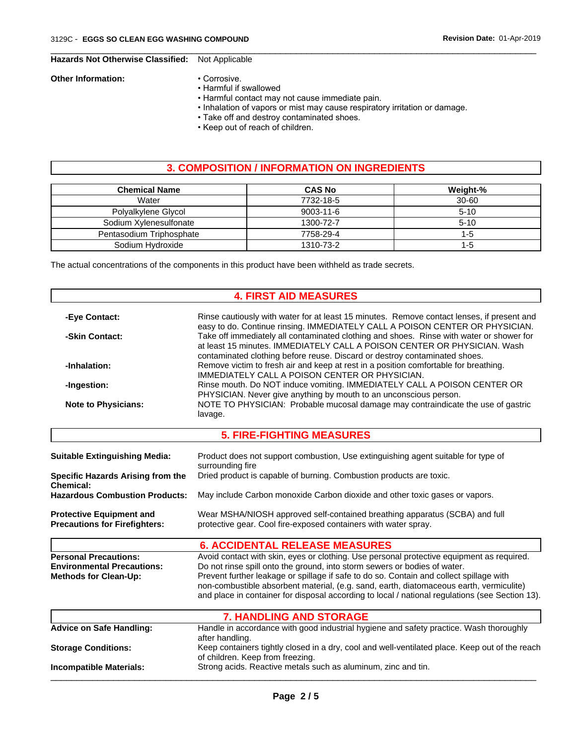### **Hazards Not Otherwise Classified:** Not Applicable

#### **Other Information:** • Corrosive.

- - Harmful if swallowed
	- Harmful contact may not cause immediate pain.
	- Inhalation of vapors or mist may cause respiratory irritation or damage.

 $\overline{\phantom{a}}$  ,  $\overline{\phantom{a}}$  ,  $\overline{\phantom{a}}$  ,  $\overline{\phantom{a}}$  ,  $\overline{\phantom{a}}$  ,  $\overline{\phantom{a}}$  ,  $\overline{\phantom{a}}$  ,  $\overline{\phantom{a}}$  ,  $\overline{\phantom{a}}$  ,  $\overline{\phantom{a}}$  ,  $\overline{\phantom{a}}$  ,  $\overline{\phantom{a}}$  ,  $\overline{\phantom{a}}$  ,  $\overline{\phantom{a}}$  ,  $\overline{\phantom{a}}$  ,  $\overline{\phantom{a}}$ 

- Take off and destroy contaminated shoes.
- Keep out of reach of children.

# **3. COMPOSITION / INFORMATION ON INGREDIENTS**

| <b>Chemical Name</b>     | <b>CAS No</b>   | Weight-%  |
|--------------------------|-----------------|-----------|
| Water                    | 7732-18-5       | $30 - 60$ |
| Polyalkylene Glycol      | $9003 - 11 - 6$ | $5 - 10$  |
| Sodium Xylenesulfonate   | 1300-72-7       | $5 - 10$  |
| Pentasodium Triphosphate | 7758-29-4       | 1-5       |
| Sodium Hydroxide         | 1310-73-2       | 1-5       |

The actual concentrations of the components in this product have been withheld as trade secrets.

#### **4. FIRST AID MEASURES**

| -Eye Contact:                                                                                                                                                                                                                                                                                                                                        | Rinse cautiously with water for at least 15 minutes. Remove contact lenses, if present and                                                                                         |  |  |  |
|------------------------------------------------------------------------------------------------------------------------------------------------------------------------------------------------------------------------------------------------------------------------------------------------------------------------------------------------------|------------------------------------------------------------------------------------------------------------------------------------------------------------------------------------|--|--|--|
| easy to do. Continue rinsing. IMMEDIATELY CALL A POISON CENTER OR PHYSICIAN.<br>Take off immediately all contaminated clothing and shoes. Rinse with water or shower for<br>-Skin Contact:<br>at least 15 minutes. IMMEDIATELY CALL A POISON CENTER OR PHYSICIAN. Wash<br>contaminated clothing before reuse. Discard or destroy contaminated shoes. |                                                                                                                                                                                    |  |  |  |
| -Inhalation:                                                                                                                                                                                                                                                                                                                                         | Remove victim to fresh air and keep at rest in a position comfortable for breathing.<br>IMMEDIATELY CALL A POISON CENTER OR PHYSICIAN.                                             |  |  |  |
| -Ingestion:                                                                                                                                                                                                                                                                                                                                          | Rinse mouth. Do NOT induce vomiting. IMMEDIATELY CALL A POISON CENTER OR<br>PHYSICIAN. Never give anything by mouth to an unconscious person.                                      |  |  |  |
| <b>Note to Physicians:</b>                                                                                                                                                                                                                                                                                                                           | NOTE TO PHYSICIAN: Probable mucosal damage may contraindicate the use of gastric<br>lavage.                                                                                        |  |  |  |
|                                                                                                                                                                                                                                                                                                                                                      | <b>5. FIRE-FIGHTING MEASURES</b>                                                                                                                                                   |  |  |  |
| <b>Suitable Extinguishing Media:</b>                                                                                                                                                                                                                                                                                                                 | Product does not support combustion, Use extinguishing agent suitable for type of<br>surrounding fire                                                                              |  |  |  |
| Specific Hazards Arising from the<br>Chemical:                                                                                                                                                                                                                                                                                                       | Dried product is capable of burning. Combustion products are toxic.                                                                                                                |  |  |  |
| <b>Hazardous Combustion Products:</b>                                                                                                                                                                                                                                                                                                                | May include Carbon monoxide Carbon dioxide and other toxic gases or vapors.                                                                                                        |  |  |  |
| <b>Protective Equipment and</b>                                                                                                                                                                                                                                                                                                                      | Wear MSHA/NIOSH approved self-contained breathing apparatus (SCBA) and full                                                                                                        |  |  |  |
| <b>Precautions for Firefighters:</b>                                                                                                                                                                                                                                                                                                                 | protective gear. Cool fire-exposed containers with water spray.                                                                                                                    |  |  |  |
|                                                                                                                                                                                                                                                                                                                                                      | <b>6. ACCIDENTAL RELEASE MEASURES</b>                                                                                                                                              |  |  |  |
| <b>Personal Precautions:</b>                                                                                                                                                                                                                                                                                                                         | Avoid contact with skin, eyes or clothing. Use personal protective equipment as required.                                                                                          |  |  |  |
| <b>Environmental Precautions:</b>                                                                                                                                                                                                                                                                                                                    | Do not rinse spill onto the ground, into storm sewers or bodies of water.                                                                                                          |  |  |  |
| <b>Methods for Clean-Up:</b>                                                                                                                                                                                                                                                                                                                         | Prevent further leakage or spillage if safe to do so. Contain and collect spillage with<br>non-combustible absorbent material, (e.g. sand, earth, diatomaceous earth, vermiculite) |  |  |  |
|                                                                                                                                                                                                                                                                                                                                                      | and place in container for disposal according to local / national regulations (see Section 13).                                                                                    |  |  |  |
|                                                                                                                                                                                                                                                                                                                                                      | <b>7. HANDLING AND STORAGE</b>                                                                                                                                                     |  |  |  |
| <b>Advice on Safe Handling:</b>                                                                                                                                                                                                                                                                                                                      | Handle in accordance with good industrial hygiene and safety practice. Wash thoroughly<br>after handling.                                                                          |  |  |  |
| <b>Storage Conditions:</b>                                                                                                                                                                                                                                                                                                                           | Keep containers tightly closed in a dry, cool and well-ventilated place. Keep out of the reach<br>of children. Keep from freezing.                                                 |  |  |  |
|                                                                                                                                                                                                                                                                                                                                                      |                                                                                                                                                                                    |  |  |  |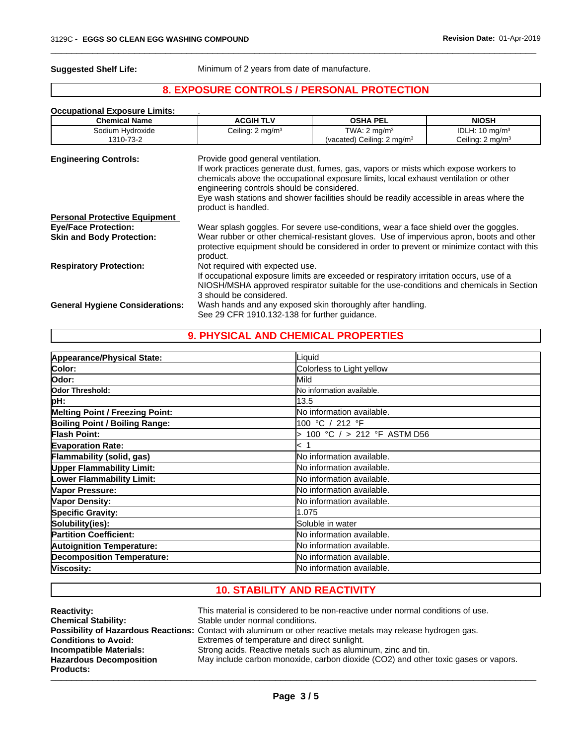**Suggested Shelf Life:** Minimum of 2 years from date of manufacture.

# **8. EXPOSURE CONTROLS / PERSONAL PROTECTION**

 $\overline{\phantom{a}}$  ,  $\overline{\phantom{a}}$  ,  $\overline{\phantom{a}}$  ,  $\overline{\phantom{a}}$  ,  $\overline{\phantom{a}}$  ,  $\overline{\phantom{a}}$  ,  $\overline{\phantom{a}}$  ,  $\overline{\phantom{a}}$  ,  $\overline{\phantom{a}}$  ,  $\overline{\phantom{a}}$  ,  $\overline{\phantom{a}}$  ,  $\overline{\phantom{a}}$  ,  $\overline{\phantom{a}}$  ,  $\overline{\phantom{a}}$  ,  $\overline{\phantom{a}}$  ,  $\overline{\phantom{a}}$ 

| <b>Occupational Exposure Limits:</b><br><b>Chemical Name</b> | <b>ACGIH TLV</b>                                                                                       | <b>OSHA PEL</b>                                                                                                                                                                                                                                                         | <b>NIOSH</b>                |
|--------------------------------------------------------------|--------------------------------------------------------------------------------------------------------|-------------------------------------------------------------------------------------------------------------------------------------------------------------------------------------------------------------------------------------------------------------------------|-----------------------------|
| Sodium Hydroxide                                             | Ceiling: 2 mg/m <sup>3</sup>                                                                           | TWA: $2 \text{ mg/m}^3$                                                                                                                                                                                                                                                 | IDLH: $10 \text{ mg/m}^3$   |
| 1310-73-2                                                    |                                                                                                        | (vacated) Ceiling: $2 \text{ mg/m}^3$                                                                                                                                                                                                                                   | Ceiling: $2 \text{ mg/m}^3$ |
| <b>Engineering Controls:</b>                                 | Provide good general ventilation.<br>engineering controls should be considered.<br>product is handled. | If work practices generate dust, fumes, gas, vapors or mists which expose workers to<br>chemicals above the occupational exposure limits, local exhaust ventilation or other<br>Eye wash stations and shower facilities should be readily accessible in areas where the |                             |
| <b>Personal Protective Equipment</b>                         |                                                                                                        |                                                                                                                                                                                                                                                                         |                             |
| <b>Eye/Face Protection:</b>                                  |                                                                                                        | Wear splash goggles. For severe use-conditions, wear a face shield over the goggles.                                                                                                                                                                                    |                             |
| <b>Skin and Body Protection:</b>                             | product.                                                                                               | Wear rubber or other chemical-resistant gloves. Use of impervious apron, boots and other<br>protective equipment should be considered in order to prevent or minimize contact with this                                                                                 |                             |
| <b>Respiratory Protection:</b>                               | Not required with expected use.                                                                        |                                                                                                                                                                                                                                                                         |                             |
|                                                              |                                                                                                        | If occupational exposure limits are exceeded or respiratory irritation occurs, use of a                                                                                                                                                                                 |                             |
|                                                              | 3 should be considered.                                                                                | NIOSH/MSHA approved respirator suitable for the use-conditions and chemicals in Section                                                                                                                                                                                 |                             |
| <b>General Hygiene Considerations:</b>                       |                                                                                                        | Wash hands and any exposed skin thoroughly after handling.                                                                                                                                                                                                              |                             |
|                                                              | See 29 CFR 1910.132-138 for further guidance.                                                          |                                                                                                                                                                                                                                                                         |                             |

#### **9. PHYSICAL AND CHEMICAL PROPERTIES**

| Appearance/Physical State:            | Liquid                       |
|---------------------------------------|------------------------------|
| Color:                                | Colorless to Light yellow    |
| lOdor:                                | Mild                         |
| Odor Threshold:                       | No information available.    |
| pH:                                   | 13.5                         |
| Melting Point / Freezing Point:       | No information available.    |
| <b>Boiling Point / Boiling Range:</b> | 100 °C / 212 °F              |
| Flash Point:                          | > 100 °C / > 212 °F ASTM D56 |
| <b>Evaporation Rate:</b>              | < 1                          |
| Flammability (solid, gas)             | No information available.    |
| <b>Upper Flammability Limit:</b>      | No information available.    |
| <b>Lower Flammability Limit:</b>      | No information available.    |
| Vapor Pressure:                       | No information available.    |
| Vapor Density:                        | No information available.    |
| <b>Specific Gravity:</b>              | 1.075                        |
| Solubility(ies):                      | Soluble in water             |
| <b>Partition Coefficient:</b>         | No information available.    |
| <b>Autoignition Temperature:</b>      | No information available.    |
| <b>Decomposition Temperature:</b>     | No information available.    |
| Viscosity:                            | No information available.    |

# **10. STABILITY AND REACTIVITY**

| <b>Reactivity:</b>             | This material is considered to be non-reactive under normal conditions of use.                               |
|--------------------------------|--------------------------------------------------------------------------------------------------------------|
| <b>Chemical Stability:</b>     | Stable under normal conditions.                                                                              |
|                                | Possibility of Hazardous Reactions: Contact with aluminum or other reactive metals may release hydrogen gas. |
| <b>Conditions to Avoid:</b>    | Extremes of temperature and direct sunlight.                                                                 |
| Incompatible Materials:        | Strong acids. Reactive metals such as aluminum, zinc and tin.                                                |
| <b>Hazardous Decomposition</b> | May include carbon monoxide, carbon dioxide (CO2) and other toxic gases or vapors.                           |
| <b>Products:</b>               |                                                                                                              |
|                                |                                                                                                              |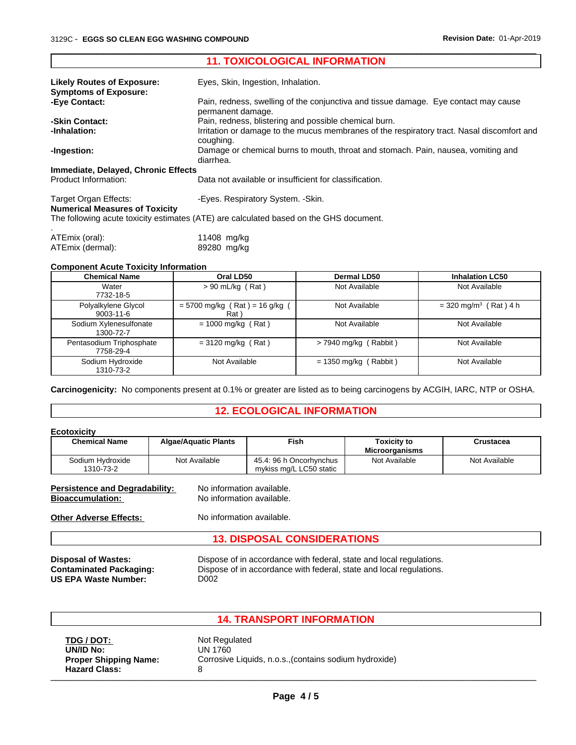|                                                                | <b>11. TOXICOLOGICAL INFORMATION</b>                                                                     |
|----------------------------------------------------------------|----------------------------------------------------------------------------------------------------------|
| <b>Likely Routes of Exposure:</b>                              | Eyes, Skin, Ingestion, Inhalation.                                                                       |
| <b>Symptoms of Exposure:</b>                                   |                                                                                                          |
| -Eye Contact:                                                  | Pain, redness, swelling of the conjunctiva and tissue damage. Eye contact may cause<br>permanent damage. |
| -Skin Contact:                                                 | Pain, redness, blistering and possible chemical burn.                                                    |
| -Inhalation:                                                   | Irritation or damage to the mucus membranes of the respiratory tract. Nasal discomfort and<br>coughing.  |
| -Ingestion:                                                    | Damage or chemical burns to mouth, throat and stomach. Pain, nausea, vomiting and<br>diarrhea.           |
| Immediate, Delayed, Chronic Effects                            |                                                                                                          |
| Product Information:                                           | Data not available or insufficient for classification.                                                   |
| Target Organ Effects:<br><b>Numerical Measures of Toxicity</b> | -Eyes. Respiratory System. - Skin.                                                                       |
|                                                                | The following acute toxicity estimates (ATE) are calculated based on the GHS document.                   |
| ATEmix (oral):                                                 | 11408 mg/kg                                                                                              |
| ATEmix (dermal):                                               | 89280 mg/kg                                                                                              |

 $\overline{\phantom{a}}$  ,  $\overline{\phantom{a}}$  ,  $\overline{\phantom{a}}$  ,  $\overline{\phantom{a}}$  ,  $\overline{\phantom{a}}$  ,  $\overline{\phantom{a}}$  ,  $\overline{\phantom{a}}$  ,  $\overline{\phantom{a}}$  ,  $\overline{\phantom{a}}$  ,  $\overline{\phantom{a}}$  ,  $\overline{\phantom{a}}$  ,  $\overline{\phantom{a}}$  ,  $\overline{\phantom{a}}$  ,  $\overline{\phantom{a}}$  ,  $\overline{\phantom{a}}$  ,  $\overline{\phantom{a}}$ 

#### **Component Acute Toxicity Information**

| <b>Chemical Name</b>                   | Oral LD50                                | <b>Dermal LD50</b>      | <b>Inhalation LC50</b>              |
|----------------------------------------|------------------------------------------|-------------------------|-------------------------------------|
| Water<br>7732-18-5                     | $> 90$ mL/kg (Rat)                       | Not Available           | Not Available                       |
| Polyalkylene Glycol<br>$9003 - 11 - 6$ | $= 5700$ mg/kg (Rat) = 16 g/kg (<br>Rat) | Not Available           | $=$ 320 mg/m <sup>3</sup> (Rat) 4 h |
| Sodium Xylenesulfonate<br>1300-72-7    | $= 1000$ mg/kg (Rat)                     | Not Available           | Not Available                       |
| Pentasodium Triphosphate<br>7758-29-4  | $= 3120$ mg/kg (Rat)                     | $>$ 7940 mg/kg (Rabbit) | Not Available                       |
| Sodium Hydroxide<br>1310-73-2          | Not Available                            | $= 1350$ mg/kg (Rabbit) | Not Available                       |

**Carcinogenicity:** No components present at 0.1% or greater are listed as to being carcinogens by ACGIH, IARC, NTP or OSHA.

#### **12. ECOLOGICAL INFORMATION**

| <b>Algae/Aquatic Plants</b>           | Fish                                               | <b>Toxicity to</b><br><b>Microorganisms</b>                                         | Crustacea     |  |
|---------------------------------------|----------------------------------------------------|-------------------------------------------------------------------------------------|---------------|--|
| Not Available                         | 45.4: 96 h Oncorhynchus<br>mykiss mg/L LC50 static | Not Available                                                                       | Not Available |  |
| <b>Persistence and Degradability:</b> |                                                    |                                                                                     |               |  |
|                                       |                                                    |                                                                                     |               |  |
| <b>13. DISPOSAL CONSIDERATIONS</b>    |                                                    |                                                                                     |               |  |
|                                       |                                                    | No information available.<br>No information available.<br>No information available. |               |  |

**US EPA Waste Number:** 

**Disposal of Wastes:** Dispose of in accordance with federal, state and local regulations.<br>**Contaminated Packaging:** Dispose of in accordance with federal, state and local regulations. Dispose of in accordance with federal, state and local regulations.<br>D002

## **14. TRANSPORT INFORMATION**

| TDG / DOT:                   |  |
|------------------------------|--|
| UN/ID No:                    |  |
| <b>Proper Shipping Name:</b> |  |
| <b>Hazard Class:</b>         |  |

**Not Regulated UN/ID No:** UN 1760 Corrosive Liquids, n.o.s.,(contains sodium hydroxide) **Hazard Class:** <sup>8</sup> \_\_\_\_\_\_\_\_\_\_\_\_\_\_\_\_\_\_\_\_\_\_\_\_\_\_\_\_\_\_\_\_\_\_\_\_\_\_\_\_\_\_\_\_\_\_\_\_\_\_\_\_\_\_\_\_\_\_\_\_\_\_\_\_\_\_\_\_\_\_\_\_\_\_\_\_\_\_\_\_\_\_\_\_\_\_\_\_\_\_\_\_\_